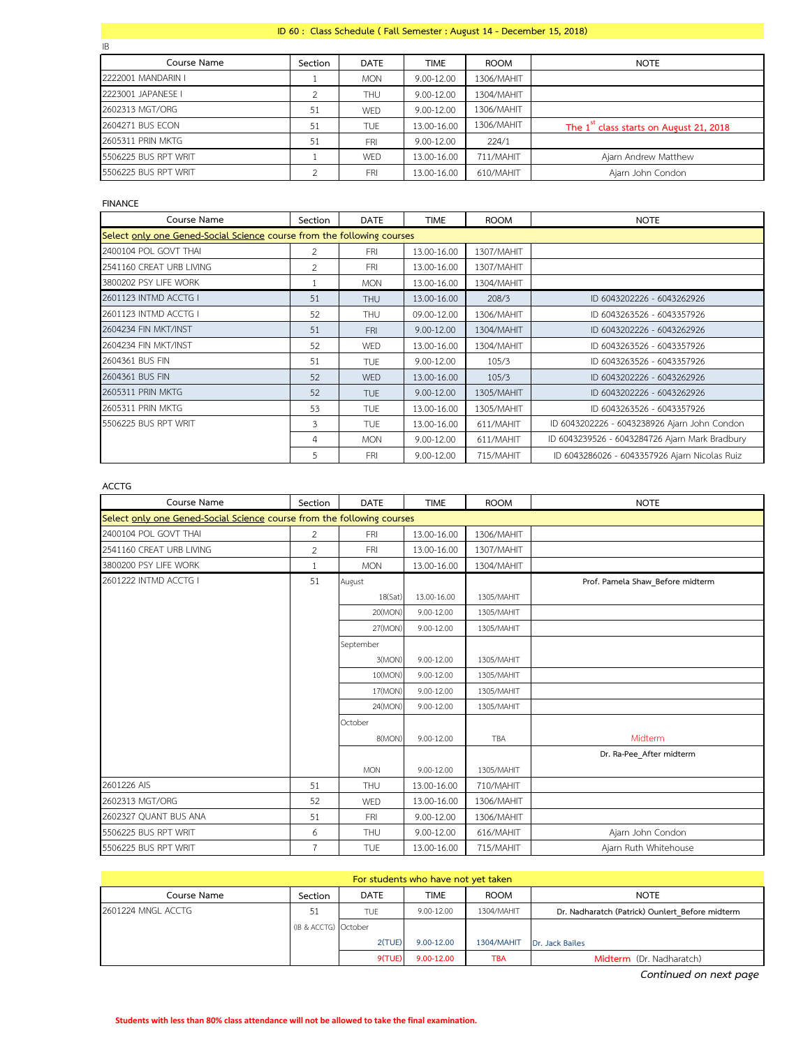## **ID 60 : Class Schedule ( Fall Semester : August 14 - December 15, 2018)**

| IB                   |         |             |             |             |                                                     |
|----------------------|---------|-------------|-------------|-------------|-----------------------------------------------------|
| Course Name          | Section | <b>DATE</b> | <b>TIME</b> | <b>ROOM</b> | <b>NOTE</b>                                         |
| 2222001 MANDARIN I   |         | <b>MON</b>  | 9.00-12.00  | 1306/MAHIT  |                                                     |
| 2223001 JAPANESE I   |         | <b>THU</b>  | 9.00-12.00  | 1304/MAHIT  |                                                     |
| 2602313 MGT/ORG      | 51      | WED         | 9.00-12.00  | 1306/MAHIT  |                                                     |
| 2604271 BUS ECON     | 51      | <b>TUE</b>  | 13.00-16.00 | 1306/MAHIT  | The 1 <sup>st</sup> class starts on August 21, 2018 |
| 2605311 PRIN MKTG    | 51      | <b>FRI</b>  | 9.00-12.00  | 224/1       |                                                     |
| 5506225 BUS RPT WRIT |         | WED         | 13.00-16.00 | 711/MAHIT   | Ajarn Andrew Matthew                                |
| 5506225 BUS RPT WRIT |         | <b>FRI</b>  | 13.00-16.00 | 610/MAHIT   | Ajarn John Condon                                   |

## **FINANCE**

| Course Name                                                            | Section       | <b>DATE</b> | <b>TIME</b> | <b>ROOM</b> | <b>NOTE</b>                                    |  |  |
|------------------------------------------------------------------------|---------------|-------------|-------------|-------------|------------------------------------------------|--|--|
| Select only one Gened-Social Science course from the following courses |               |             |             |             |                                                |  |  |
| 2400104 POL GOVT THAI                                                  | $\mathcal{L}$ | <b>FRI</b>  | 13.00-16.00 | 1307/MAHIT  |                                                |  |  |
| 2541160 CREAT URB LIVING                                               | 2             | <b>FRI</b>  | 13.00-16.00 | 1307/MAHIT  |                                                |  |  |
| 3800202 PSY LIFE WORK                                                  |               | <b>MON</b>  | 13.00-16.00 | 1304/MAHIT  |                                                |  |  |
| 2601123 INTMD ACCTG I                                                  | 51            | <b>THU</b>  | 13.00-16.00 | 208/3       | ID 6043202226 - 6043262926                     |  |  |
| 2601123 INTMD ACCTG I                                                  | 52            | <b>THU</b>  | 09.00-12.00 | 1306/MAHIT  | ID 6043263526 - 6043357926                     |  |  |
| 2604234 FIN MKT/INST                                                   | 51            | <b>FRI</b>  | 9.00-12.00  | 1304/MAHIT  | ID 6043202226 - 6043262926                     |  |  |
| 2604234 FIN MKT/INST                                                   | 52            | <b>WED</b>  | 13.00-16.00 | 1304/MAHIT  | ID 6043263526 - 6043357926                     |  |  |
| 2604361 BUS FIN                                                        | 51            | <b>TUE</b>  | 9.00-12.00  | 105/3       | ID 6043263526 - 6043357926                     |  |  |
| 2604361 BUS FIN                                                        | 52            | <b>WED</b>  | 13.00-16.00 | 105/3       | ID 6043202226 - 6043262926                     |  |  |
| <b>2605311 PRIN MKTG</b>                                               | 52            | <b>TUE</b>  | 9.00-12.00  | 1305/MAHIT  | ID 6043202226 - 6043262926                     |  |  |
| 2605311 PRIN MKTG                                                      | 53            | <b>TUE</b>  | 13.00-16.00 | 1305/MAHIT  | ID 6043263526 - 6043357926                     |  |  |
| 5506225 BUS RPT WRIT                                                   | 3             | <b>TUE</b>  | 13.00-16.00 | 611/MAHIT   | ID 6043202226 - 6043238926 Ajarn John Condon   |  |  |
|                                                                        | 4             | <b>MON</b>  | 9.00-12.00  | 611/MAHIT   | ID 6043239526 - 6043284726 Ajarn Mark Bradbury |  |  |
|                                                                        | 5             | <b>FRI</b>  | 9.00-12.00  | 715/MAHIT   | ID 6043286026 - 6043357926 Ajarn Nicolas Ruiz  |  |  |

## **ACCTG**

| Course Name                                                            | Section        | <b>DATE</b> | <b>TIME</b> | <b>ROOM</b> | <b>NOTE</b>                      |  |  |
|------------------------------------------------------------------------|----------------|-------------|-------------|-------------|----------------------------------|--|--|
| Select only one Gened-Social Science course from the following courses |                |             |             |             |                                  |  |  |
| 2400104 POL GOVT THAI                                                  | $\overline{2}$ | <b>FRI</b>  | 13.00-16.00 | 1306/MAHIT  |                                  |  |  |
| 2541160 CREAT URB LIVING                                               | $\overline{2}$ | FRI         | 13.00-16.00 | 1307/MAHIT  |                                  |  |  |
| 3800200 PSY LIFE WORK                                                  | 1              | <b>MON</b>  | 13.00-16.00 | 1304/MAHIT  |                                  |  |  |
| 2601222 INTMD ACCTG I                                                  | 51             | August      |             |             | Prof. Pamela Shaw Before midterm |  |  |
|                                                                        |                | 18(Sat)     | 13.00-16.00 | 1305/MAHIT  |                                  |  |  |
|                                                                        |                | 20(MON)     | 9.00-12.00  | 1305/MAHIT  |                                  |  |  |
|                                                                        |                | 27(MON)     | 9.00-12.00  | 1305/MAHIT  |                                  |  |  |
|                                                                        |                | September   |             |             |                                  |  |  |
|                                                                        |                | 3(MON)      | 9.00-12.00  | 1305/MAHIT  |                                  |  |  |
|                                                                        |                | 10(MON)     | 9.00-12.00  | 1305/MAHIT  |                                  |  |  |
|                                                                        |                | 17(MON)     | 9.00-12.00  | 1305/MAHIT  |                                  |  |  |
|                                                                        |                | 24(MON)     | 9.00-12.00  | 1305/MAHIT  |                                  |  |  |
|                                                                        |                | October     |             |             |                                  |  |  |
|                                                                        |                | 8(MON)      | 9.00-12.00  | <b>TBA</b>  | Midterm                          |  |  |
|                                                                        |                |             |             |             | Dr. Ra-Pee After midterm         |  |  |
|                                                                        |                | <b>MON</b>  | 9.00-12.00  | 1305/MAHIT  |                                  |  |  |
| 2601226 AIS                                                            | 51             | <b>THU</b>  | 13.00-16.00 | 710/MAHIT   |                                  |  |  |
| 2602313 MGT/ORG                                                        | 52             | WED         | 13.00-16.00 | 1306/MAHIT  |                                  |  |  |
| 2602327 QUANT BUS ANA                                                  | 51             | <b>FRI</b>  | 9.00-12.00  | 1306/MAHIT  |                                  |  |  |
| 5506225 BUS RPT WRIT                                                   | 6              | <b>THU</b>  | 9.00-12.00  | 616/MAHIT   | Ajarn John Condon                |  |  |
| 5506225 BUS RPT WRIT                                                   | $\overline{7}$ | <b>TUE</b>  | 13.00-16.00 | 715/MAHIT   | Ajarn Ruth Whitehouse            |  |  |

| For students who have not yet taken |                      |            |             |                   |                                                 |  |  |
|-------------------------------------|----------------------|------------|-------------|-------------------|-------------------------------------------------|--|--|
| Course Name                         | Section              | DATE       | <b>TIME</b> | <b>ROOM</b>       | <b>NOTE</b>                                     |  |  |
| 2601224 MNGL ACCTG                  | 51                   | <b>TUE</b> | 9.00-12.00  | 1304/MAHIT        | Dr. Nadharatch (Patrick) Ounlert Before midterm |  |  |
|                                     | (IB & ACCTG) October |            |             |                   |                                                 |  |  |
|                                     |                      | 2(TUE)     | 9.00-12.00  | <b>1304/MAHIT</b> | Dr. Jack Bailes                                 |  |  |
|                                     |                      | 9(TUE)     | 9.00-12.00  | <b>TBA</b>        | Midterm (Dr. Nadharatch)                        |  |  |

*Continued on next page*